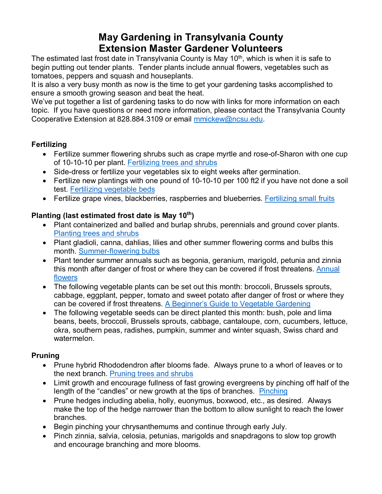# **May Gardening in Transylvania County Extension Master Gardener Volunteers**

The estimated last frost date in Transylvania County is May  $10<sup>th</sup>$ , which is when it is safe to begin putting out tender plants. Tender plants include annual flowers, vegetables such as tomatoes, peppers and squash and houseplants.

It is also a very busy month as now is the time to get your gardening tasks accomplished to ensure a smooth growing season and beat the heat.

We've put together a list of gardening tasks to do now with links for more information on each topic. If you have questions or need more information, please contact the Transylvania County Cooperative Extension at 828.884.3109 or email [mmickew@ncsu.edu.](mailto:mmickew@ncsu.edu)

# **Fertilizing**

- Fertilize summer flowering shrubs such as crape myrtle and rose-of-Sharon with one cup of 10-10-10 per plant. [Fertilizing trees and shrubs](https://content.ces.ncsu.edu/a-gardeners-guide-to-fertilizing-trees-and-shrubs)
- Side-dress or fertilize your vegetables six to eight weeks after germination.
- Fertilize new plantings with one pound of 10-10-10 per 100 ft2 if you have not done a soil test. [Fertilizing vegetable beds](https://hgic.clemson.edu/factsheet/fertilizing-vegetables/)
- Fertilize grape vines, blackberries, raspberries and blueberries. [Fertilizing small fruits](https://content.ces.ncsu.edu/extension-gardener-handbook/14-small-fruits#section_heading_8162)

# **Planting (last estimated frost date is May 10th)**

- Plant containerized and balled and burlap shrubs, perennials and ground cover plants. [Planting trees and shrubs](https://content.ces.ncsu.edu/extension-gardener-handbook/11-woody-ornamentals#section_heading_9714)
- Plant gladioli, canna, dahlias, lilies and other summer flowering corms and bulbs this month. [Summer-flowering bulbs](https://content.ces.ncsu.edu/summer-and-fall-flowering-bulbs-for-the-landscape)
- Plant tender summer annuals such as begonia, geranium, marigold, petunia and zinnia this month after danger of frost or where they can be covered if frost threatens. [Annual](https://content.ces.ncsu.edu/extension-gardener-handbook/10-herbaceous-ornamentals#section_heading_9165)  [flowers](https://content.ces.ncsu.edu/extension-gardener-handbook/10-herbaceous-ornamentals#section_heading_9165)
- The following vegetable plants can be set out this month: broccoli, Brussels sprouts, cabbage, eggplant, pepper, tomato and sweet potato after danger of frost or where they can be covered if frost threatens. [A Beginner's Guide to Vegetable Gardening](https://content.ces.ncsu.edu/home-vegetable-gardening-a-quick-reference-guide)
- The following vegetable seeds can be direct planted this month: bush, pole and lima beans, beets, broccoli, Brussels sprouts, cabbage, cantaloupe, corn, cucumbers, lettuce, okra, southern peas, radishes, pumpkin, summer and winter squash, Swiss chard and watermelon.

# **Pruning**

- Prune hybrid Rhododendron after blooms fade. Always prune to a whorl of leaves or to the next branch. [Pruning trees and shrubs](https://content.ces.ncsu.edu/catalog/series/99/)
- Limit growth and encourage fullness of fast growing evergreens by pinching off half of the length of the "candles" or new growth at the tips of branches. [Pinching](https://content.ces.ncsu.edu/before-the-cut)
- Prune hedges including abelia, holly, euonymus, boxwood, etc., as desired. Always make the top of the hedge narrower than the bottom to allow sunlight to reach the lower branches.
- Begin pinching your chrysanthemums and continue through early July.
- Pinch zinnia, salvia, celosia, petunias, marigolds and snapdragons to slow top growth and encourage branching and more blooms.